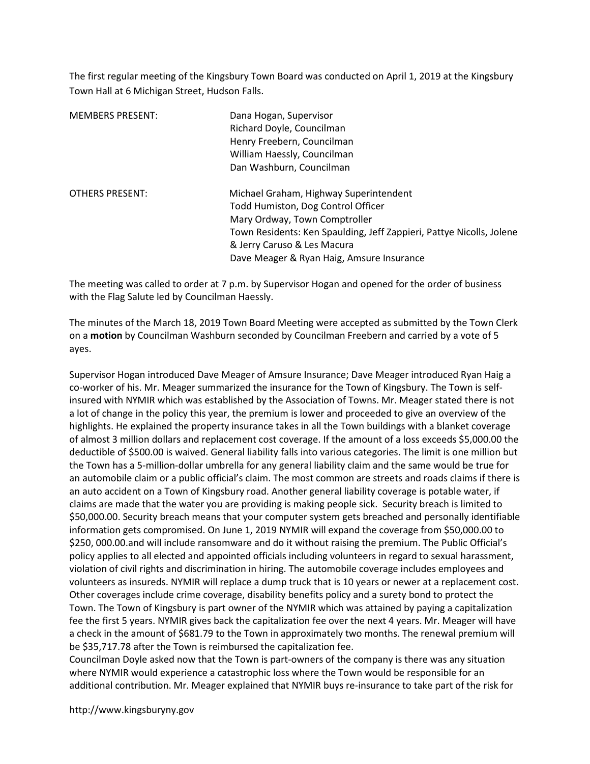The first regular meeting of the Kingsbury Town Board was conducted on April 1, 2019 at the Kingsbury Town Hall at 6 Michigan Street, Hudson Falls.

| <b>MEMBERS PRESENT:</b> | Dana Hogan, Supervisor<br>Richard Doyle, Councilman<br>Henry Freebern, Councilman<br>William Haessly, Councilman<br>Dan Washburn, Councilman                                                                                                                      |
|-------------------------|-------------------------------------------------------------------------------------------------------------------------------------------------------------------------------------------------------------------------------------------------------------------|
| <b>OTHERS PRESENT:</b>  | Michael Graham, Highway Superintendent<br>Todd Humiston, Dog Control Officer<br>Mary Ordway, Town Comptroller<br>Town Residents: Ken Spaulding, Jeff Zappieri, Pattye Nicolls, Jolene<br>& Jerry Caruso & Les Macura<br>Dave Meager & Ryan Haig, Amsure Insurance |

The meeting was called to order at 7 p.m. by Supervisor Hogan and opened for the order of business with the Flag Salute led by Councilman Haessly.

The minutes of the March 18, 2019 Town Board Meeting were accepted as submitted by the Town Clerk on a motion by Councilman Washburn seconded by Councilman Freebern and carried by a vote of 5 ayes.

Supervisor Hogan introduced Dave Meager of Amsure Insurance; Dave Meager introduced Ryan Haig a co-worker of his. Mr. Meager summarized the insurance for the Town of Kingsbury. The Town is selfinsured with NYMIR which was established by the Association of Towns. Mr. Meager stated there is not a lot of change in the policy this year, the premium is lower and proceeded to give an overview of the highlights. He explained the property insurance takes in all the Town buildings with a blanket coverage of almost 3 million dollars and replacement cost coverage. If the amount of a loss exceeds \$5,000.00 the deductible of \$500.00 is waived. General liability falls into various categories. The limit is one million but the Town has a 5-million-dollar umbrella for any general liability claim and the same would be true for an automobile claim or a public official's claim. The most common are streets and roads claims if there is an auto accident on a Town of Kingsbury road. Another general liability coverage is potable water, if claims are made that the water you are providing is making people sick. Security breach is limited to \$50,000.00. Security breach means that your computer system gets breached and personally identifiable information gets compromised. On June 1, 2019 NYMIR will expand the coverage from \$50,000.00 to \$250, 000.00.and will include ransomware and do it without raising the premium. The Public Official's policy applies to all elected and appointed officials including volunteers in regard to sexual harassment, violation of civil rights and discrimination in hiring. The automobile coverage includes employees and volunteers as insureds. NYMIR will replace a dump truck that is 10 years or newer at a replacement cost. Other coverages include crime coverage, disability benefits policy and a surety bond to protect the Town. The Town of Kingsbury is part owner of the NYMIR which was attained by paying a capitalization fee the first 5 years. NYMIR gives back the capitalization fee over the next 4 years. Mr. Meager will have a check in the amount of \$681.79 to the Town in approximately two months. The renewal premium will be \$35,717.78 after the Town is reimbursed the capitalization fee.

Councilman Doyle asked now that the Town is part-owners of the company is there was any situation where NYMIR would experience a catastrophic loss where the Town would be responsible for an additional contribution. Mr. Meager explained that NYMIR buys re-insurance to take part of the risk for

http://www.kingsburyny.gov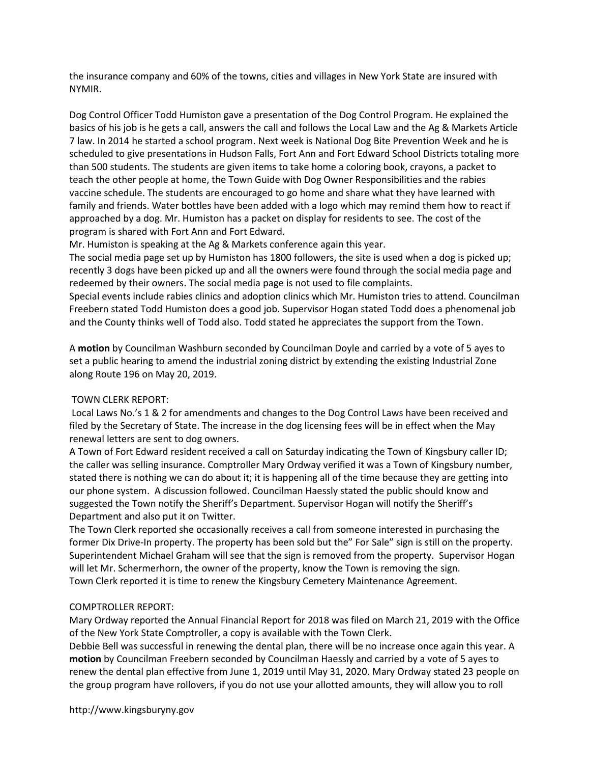the insurance company and 60% of the towns, cities and villages in New York State are insured with NYMIR.

Dog Control Officer Todd Humiston gave a presentation of the Dog Control Program. He explained the basics of his job is he gets a call, answers the call and follows the Local Law and the Ag & Markets Article 7 law. In 2014 he started a school program. Next week is National Dog Bite Prevention Week and he is scheduled to give presentations in Hudson Falls, Fort Ann and Fort Edward School Districts totaling more than 500 students. The students are given items to take home a coloring book, crayons, a packet to teach the other people at home, the Town Guide with Dog Owner Responsibilities and the rabies vaccine schedule. The students are encouraged to go home and share what they have learned with family and friends. Water bottles have been added with a logo which may remind them how to react if approached by a dog. Mr. Humiston has a packet on display for residents to see. The cost of the program is shared with Fort Ann and Fort Edward.

Mr. Humiston is speaking at the Ag & Markets conference again this year.

The social media page set up by Humiston has 1800 followers, the site is used when a dog is picked up; recently 3 dogs have been picked up and all the owners were found through the social media page and redeemed by their owners. The social media page is not used to file complaints.

Special events include rabies clinics and adoption clinics which Mr. Humiston tries to attend. Councilman Freebern stated Todd Humiston does a good job. Supervisor Hogan stated Todd does a phenomenal job and the County thinks well of Todd also. Todd stated he appreciates the support from the Town.

A motion by Councilman Washburn seconded by Councilman Doyle and carried by a vote of 5 ayes to set a public hearing to amend the industrial zoning district by extending the existing Industrial Zone along Route 196 on May 20, 2019.

# TOWN CLERK REPORT:

 Local Laws No.'s 1 & 2 for amendments and changes to the Dog Control Laws have been received and filed by the Secretary of State. The increase in the dog licensing fees will be in effect when the May renewal letters are sent to dog owners.

A Town of Fort Edward resident received a call on Saturday indicating the Town of Kingsbury caller ID; the caller was selling insurance. Comptroller Mary Ordway verified it was a Town of Kingsbury number, stated there is nothing we can do about it; it is happening all of the time because they are getting into our phone system. A discussion followed. Councilman Haessly stated the public should know and suggested the Town notify the Sheriff's Department. Supervisor Hogan will notify the Sheriff's Department and also put it on Twitter.

The Town Clerk reported she occasionally receives a call from someone interested in purchasing the former Dix Drive-In property. The property has been sold but the" For Sale" sign is still on the property. Superintendent Michael Graham will see that the sign is removed from the property. Supervisor Hogan will let Mr. Schermerhorn, the owner of the property, know the Town is removing the sign. Town Clerk reported it is time to renew the Kingsbury Cemetery Maintenance Agreement.

# COMPTROLLER REPORT:

Mary Ordway reported the Annual Financial Report for 2018 was filed on March 21, 2019 with the Office of the New York State Comptroller, a copy is available with the Town Clerk.

Debbie Bell was successful in renewing the dental plan, there will be no increase once again this year. A motion by Councilman Freebern seconded by Councilman Haessly and carried by a vote of 5 ayes to renew the dental plan effective from June 1, 2019 until May 31, 2020. Mary Ordway stated 23 people on the group program have rollovers, if you do not use your allotted amounts, they will allow you to roll

http://www.kingsburyny.gov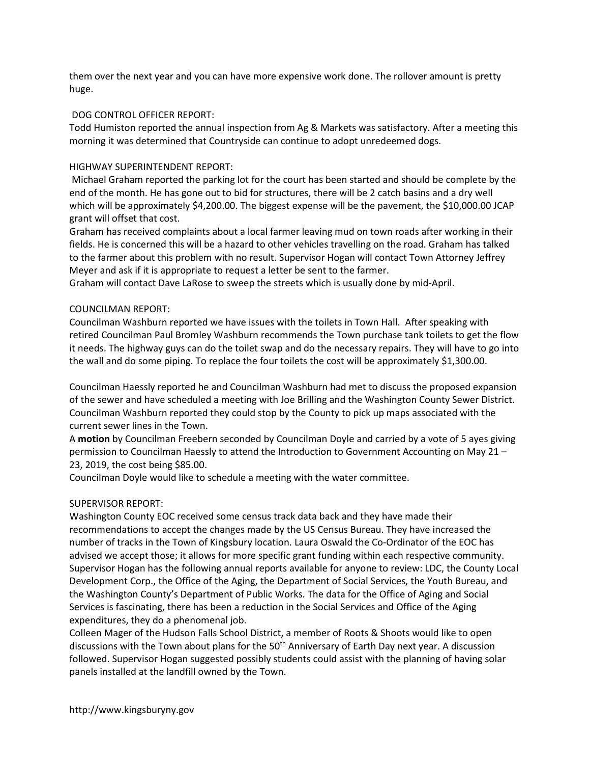them over the next year and you can have more expensive work done. The rollover amount is pretty huge.

### DOG CONTROL OFFICER REPORT:

Todd Humiston reported the annual inspection from Ag & Markets was satisfactory. After a meeting this morning it was determined that Countryside can continue to adopt unredeemed dogs.

# HIGHWAY SUPERINTENDENT REPORT:

 Michael Graham reported the parking lot for the court has been started and should be complete by the end of the month. He has gone out to bid for structures, there will be 2 catch basins and a dry well which will be approximately \$4,200.00. The biggest expense will be the pavement, the \$10,000.00 JCAP grant will offset that cost.

Graham has received complaints about a local farmer leaving mud on town roads after working in their fields. He is concerned this will be a hazard to other vehicles travelling on the road. Graham has talked to the farmer about this problem with no result. Supervisor Hogan will contact Town Attorney Jeffrey Meyer and ask if it is appropriate to request a letter be sent to the farmer.

Graham will contact Dave LaRose to sweep the streets which is usually done by mid-April.

### COUNCILMAN REPORT:

Councilman Washburn reported we have issues with the toilets in Town Hall. After speaking with retired Councilman Paul Bromley Washburn recommends the Town purchase tank toilets to get the flow it needs. The highway guys can do the toilet swap and do the necessary repairs. They will have to go into the wall and do some piping. To replace the four toilets the cost will be approximately \$1,300.00.

Councilman Haessly reported he and Councilman Washburn had met to discuss the proposed expansion of the sewer and have scheduled a meeting with Joe Brilling and the Washington County Sewer District. Councilman Washburn reported they could stop by the County to pick up maps associated with the current sewer lines in the Town.

A motion by Councilman Freebern seconded by Councilman Doyle and carried by a vote of 5 ayes giving permission to Councilman Haessly to attend the Introduction to Government Accounting on May 21 – 23, 2019, the cost being \$85.00.

Councilman Doyle would like to schedule a meeting with the water committee.

# SUPERVISOR REPORT:

Washington County EOC received some census track data back and they have made their recommendations to accept the changes made by the US Census Bureau. They have increased the number of tracks in the Town of Kingsbury location. Laura Oswald the Co-Ordinator of the EOC has advised we accept those; it allows for more specific grant funding within each respective community. Supervisor Hogan has the following annual reports available for anyone to review: LDC, the County Local Development Corp., the Office of the Aging, the Department of Social Services, the Youth Bureau, and the Washington County's Department of Public Works. The data for the Office of Aging and Social Services is fascinating, there has been a reduction in the Social Services and Office of the Aging expenditures, they do a phenomenal job.

Colleen Mager of the Hudson Falls School District, a member of Roots & Shoots would like to open discussions with the Town about plans for the 50<sup>th</sup> Anniversary of Earth Day next year. A discussion followed. Supervisor Hogan suggested possibly students could assist with the planning of having solar panels installed at the landfill owned by the Town.